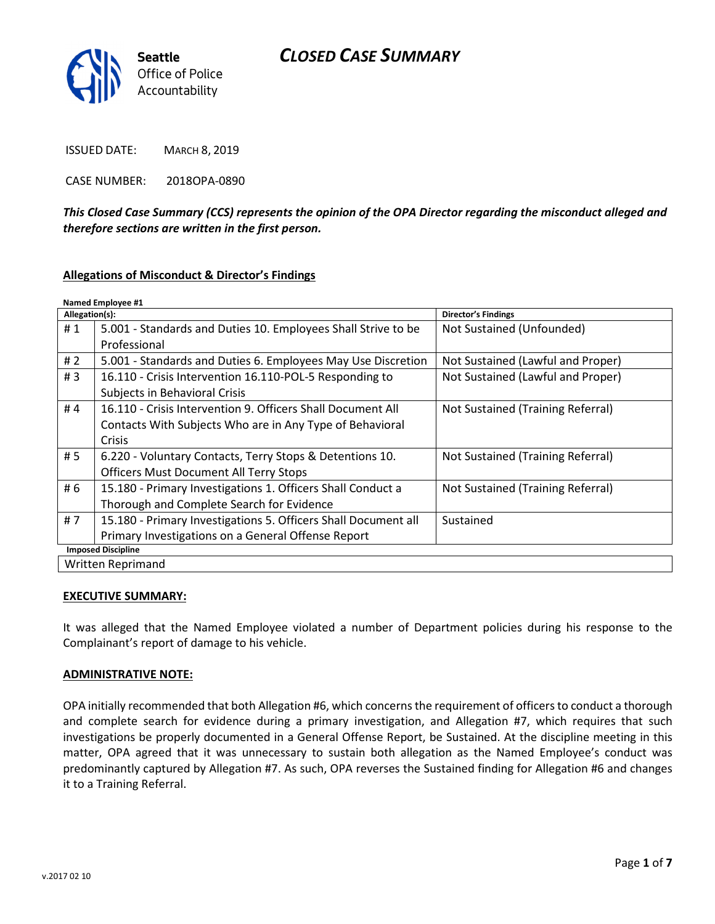# CLOSED CASE SUMMARY



ISSUED DATE: MARCH 8, 2019

CASE NUMBER: 2018OPA-0890

This Closed Case Summary (CCS) represents the opinion of the OPA Director regarding the misconduct alleged and therefore sections are written in the first person.

#### Allegations of Misconduct & Director's Findings

| Named Employee #1         |                                                                |                                   |
|---------------------------|----------------------------------------------------------------|-----------------------------------|
| Allegation(s):            |                                                                | <b>Director's Findings</b>        |
| #1                        | 5.001 - Standards and Duties 10. Employees Shall Strive to be  | Not Sustained (Unfounded)         |
|                           | Professional                                                   |                                   |
| # $2$                     | 5.001 - Standards and Duties 6. Employees May Use Discretion   | Not Sustained (Lawful and Proper) |
| #3                        | 16.110 - Crisis Intervention 16.110-POL-5 Responding to        | Not Sustained (Lawful and Proper) |
|                           | Subjects in Behavioral Crisis                                  |                                   |
| #4                        | 16.110 - Crisis Intervention 9. Officers Shall Document All    | Not Sustained (Training Referral) |
|                           | Contacts With Subjects Who are in Any Type of Behavioral       |                                   |
|                           | <b>Crisis</b>                                                  |                                   |
| #5                        | 6.220 - Voluntary Contacts, Terry Stops & Detentions 10.       | Not Sustained (Training Referral) |
|                           | <b>Officers Must Document All Terry Stops</b>                  |                                   |
| # 6                       | 15.180 - Primary Investigations 1. Officers Shall Conduct a    | Not Sustained (Training Referral) |
|                           | Thorough and Complete Search for Evidence                      |                                   |
| #7                        | 15.180 - Primary Investigations 5. Officers Shall Document all | Sustained                         |
|                           | Primary Investigations on a General Offense Report             |                                   |
| <b>Imposed Discipline</b> |                                                                |                                   |
| Written Reprimand         |                                                                |                                   |

#### EXECUTIVE SUMMARY:

It was alleged that the Named Employee violated a number of Department policies during his response to the Complainant's report of damage to his vehicle.

#### ADMINISTRATIVE NOTE:

OPA initially recommended that both Allegation #6, which concerns the requirement of officers to conduct a thorough and complete search for evidence during a primary investigation, and Allegation #7, which requires that such investigations be properly documented in a General Offense Report, be Sustained. At the discipline meeting in this matter, OPA agreed that it was unnecessary to sustain both allegation as the Named Employee's conduct was predominantly captured by Allegation #7. As such, OPA reverses the Sustained finding for Allegation #6 and changes it to a Training Referral.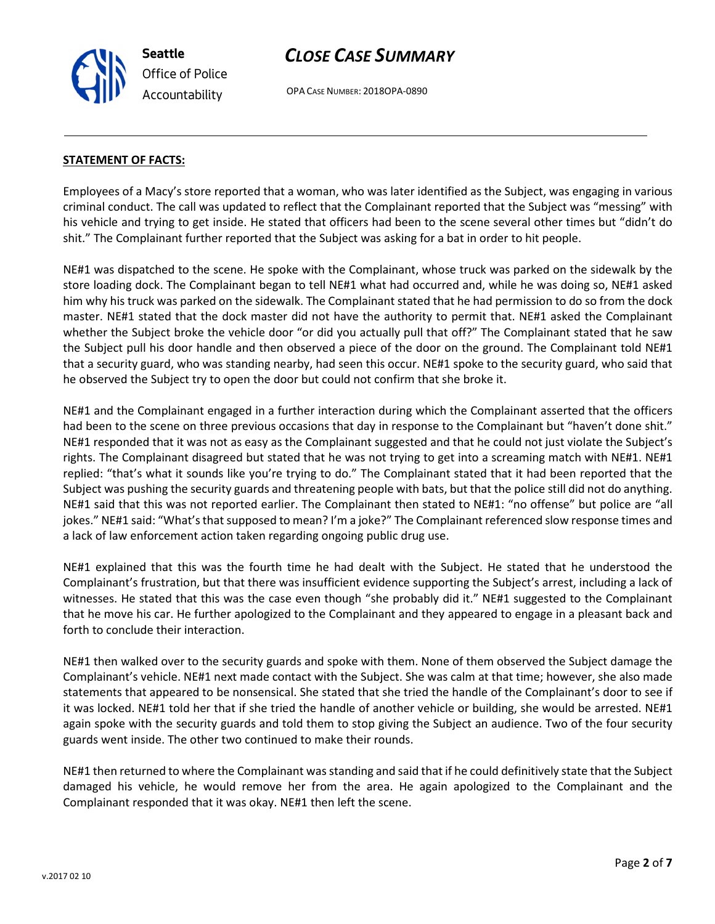Seattle Office of Police Accountability

# CLOSE CASE SUMMARY

OPA CASE NUMBER: 2018OPA-0890

#### STATEMENT OF FACTS:

Employees of a Macy's store reported that a woman, who was later identified as the Subject, was engaging in various criminal conduct. The call was updated to reflect that the Complainant reported that the Subject was "messing" with his vehicle and trying to get inside. He stated that officers had been to the scene several other times but "didn't do shit." The Complainant further reported that the Subject was asking for a bat in order to hit people.

NE#1 was dispatched to the scene. He spoke with the Complainant, whose truck was parked on the sidewalk by the store loading dock. The Complainant began to tell NE#1 what had occurred and, while he was doing so, NE#1 asked him why his truck was parked on the sidewalk. The Complainant stated that he had permission to do so from the dock master. NE#1 stated that the dock master did not have the authority to permit that. NE#1 asked the Complainant whether the Subject broke the vehicle door "or did you actually pull that off?" The Complainant stated that he saw the Subject pull his door handle and then observed a piece of the door on the ground. The Complainant told NE#1 that a security guard, who was standing nearby, had seen this occur. NE#1 spoke to the security guard, who said that he observed the Subject try to open the door but could not confirm that she broke it.

NE#1 and the Complainant engaged in a further interaction during which the Complainant asserted that the officers had been to the scene on three previous occasions that day in response to the Complainant but "haven't done shit." NE#1 responded that it was not as easy as the Complainant suggested and that he could not just violate the Subject's rights. The Complainant disagreed but stated that he was not trying to get into a screaming match with NE#1. NE#1 replied: "that's what it sounds like you're trying to do." The Complainant stated that it had been reported that the Subject was pushing the security guards and threatening people with bats, but that the police still did not do anything. NE#1 said that this was not reported earlier. The Complainant then stated to NE#1: "no offense" but police are "all jokes." NE#1 said: "What's that supposed to mean? I'm a joke?" The Complainant referenced slow response times and a lack of law enforcement action taken regarding ongoing public drug use.

NE#1 explained that this was the fourth time he had dealt with the Subject. He stated that he understood the Complainant's frustration, but that there was insufficient evidence supporting the Subject's arrest, including a lack of witnesses. He stated that this was the case even though "she probably did it." NE#1 suggested to the Complainant that he move his car. He further apologized to the Complainant and they appeared to engage in a pleasant back and forth to conclude their interaction.

NE#1 then walked over to the security guards and spoke with them. None of them observed the Subject damage the Complainant's vehicle. NE#1 next made contact with the Subject. She was calm at that time; however, she also made statements that appeared to be nonsensical. She stated that she tried the handle of the Complainant's door to see if it was locked. NE#1 told her that if she tried the handle of another vehicle or building, she would be arrested. NE#1 again spoke with the security guards and told them to stop giving the Subject an audience. Two of the four security guards went inside. The other two continued to make their rounds.

NE#1 then returned to where the Complainant was standing and said that if he could definitively state that the Subject damaged his vehicle, he would remove her from the area. He again apologized to the Complainant and the Complainant responded that it was okay. NE#1 then left the scene.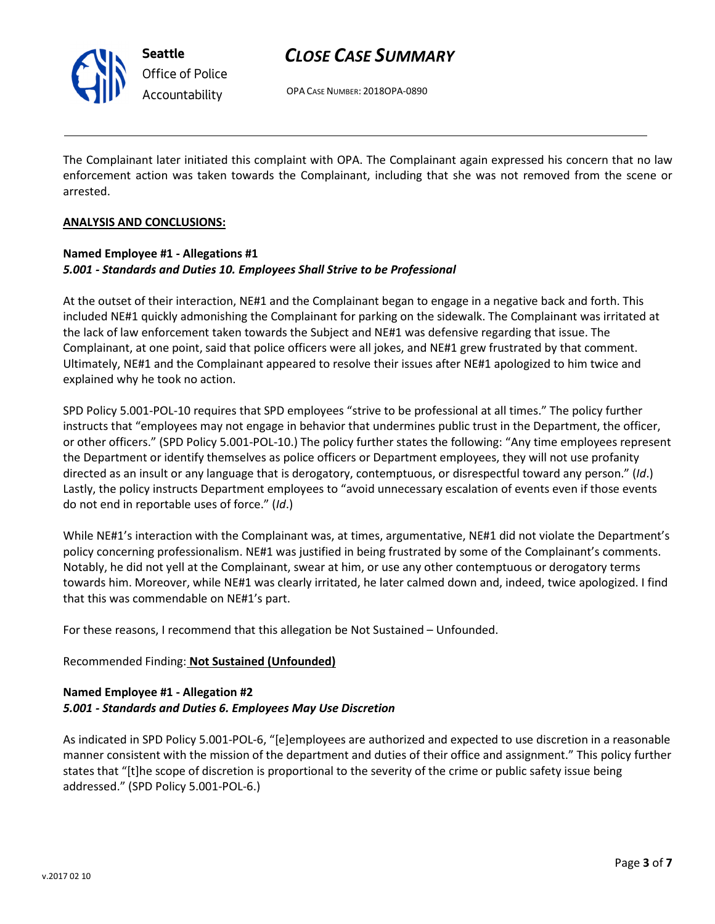

Seattle Office of Police Accountability

# CLOSE CASE SUMMARY

OPA CASE NUMBER: 2018OPA-0890

The Complainant later initiated this complaint with OPA. The Complainant again expressed his concern that no law enforcement action was taken towards the Complainant, including that she was not removed from the scene or arrested.

#### ANALYSIS AND CONCLUSIONS:

### Named Employee #1 - Allegations #1 5.001 - Standards and Duties 10. Employees Shall Strive to be Professional

At the outset of their interaction, NE#1 and the Complainant began to engage in a negative back and forth. This included NE#1 quickly admonishing the Complainant for parking on the sidewalk. The Complainant was irritated at the lack of law enforcement taken towards the Subject and NE#1 was defensive regarding that issue. The Complainant, at one point, said that police officers were all jokes, and NE#1 grew frustrated by that comment. Ultimately, NE#1 and the Complainant appeared to resolve their issues after NE#1 apologized to him twice and explained why he took no action.

SPD Policy 5.001-POL-10 requires that SPD employees "strive to be professional at all times." The policy further instructs that "employees may not engage in behavior that undermines public trust in the Department, the officer, or other officers." (SPD Policy 5.001-POL-10.) The policy further states the following: "Any time employees represent the Department or identify themselves as police officers or Department employees, they will not use profanity directed as an insult or any language that is derogatory, contemptuous, or disrespectful toward any person." (Id.) Lastly, the policy instructs Department employees to "avoid unnecessary escalation of events even if those events do not end in reportable uses of force." (Id.)

While NE#1's interaction with the Complainant was, at times, argumentative, NE#1 did not violate the Department's policy concerning professionalism. NE#1 was justified in being frustrated by some of the Complainant's comments. Notably, he did not yell at the Complainant, swear at him, or use any other contemptuous or derogatory terms towards him. Moreover, while NE#1 was clearly irritated, he later calmed down and, indeed, twice apologized. I find that this was commendable on NE#1's part.

For these reasons, I recommend that this allegation be Not Sustained – Unfounded.

## Recommended Finding: Not Sustained (Unfounded)

### Named Employee #1 - Allegation #2 5.001 - Standards and Duties 6. Employees May Use Discretion

As indicated in SPD Policy 5.001-POL-6, "[e]employees are authorized and expected to use discretion in a reasonable manner consistent with the mission of the department and duties of their office and assignment." This policy further states that "[t]he scope of discretion is proportional to the severity of the crime or public safety issue being addressed." (SPD Policy 5.001-POL-6.)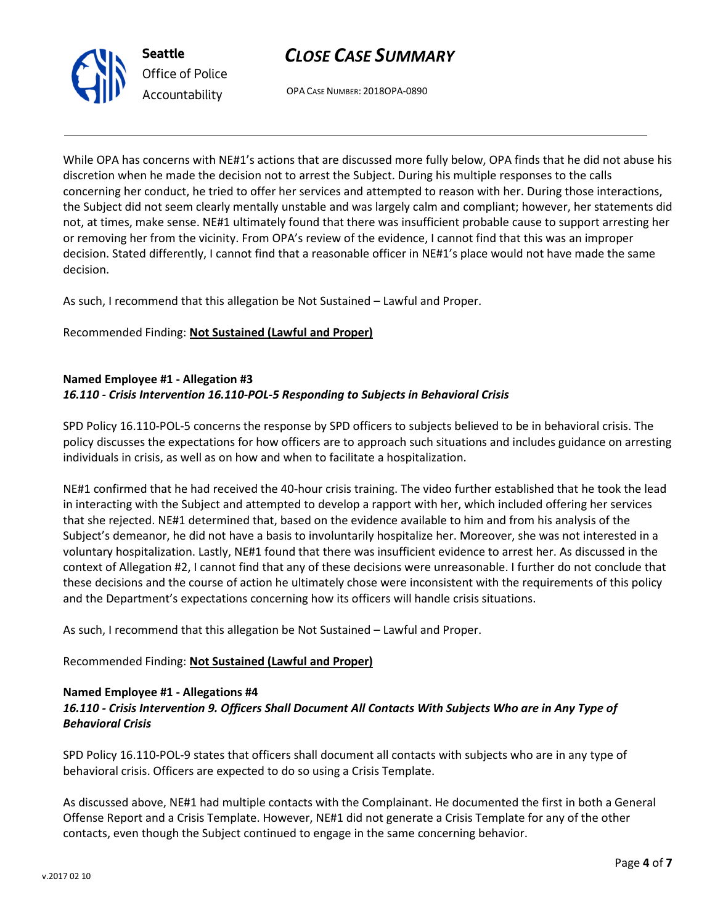



OPA CASE NUMBER: 2018OPA-0890

While OPA has concerns with NE#1's actions that are discussed more fully below, OPA finds that he did not abuse his discretion when he made the decision not to arrest the Subject. During his multiple responses to the calls concerning her conduct, he tried to offer her services and attempted to reason with her. During those interactions, the Subject did not seem clearly mentally unstable and was largely calm and compliant; however, her statements did not, at times, make sense. NE#1 ultimately found that there was insufficient probable cause to support arresting her or removing her from the vicinity. From OPA's review of the evidence, I cannot find that this was an improper decision. Stated differently, I cannot find that a reasonable officer in NE#1's place would not have made the same decision.

As such, I recommend that this allegation be Not Sustained – Lawful and Proper.

Recommended Finding: Not Sustained (Lawful and Proper)

#### Named Employee #1 - Allegation #3 16.110 - Crisis Intervention 16.110-POL-5 Responding to Subjects in Behavioral Crisis

SPD Policy 16.110-POL-5 concerns the response by SPD officers to subjects believed to be in behavioral crisis. The policy discusses the expectations for how officers are to approach such situations and includes guidance on arresting individuals in crisis, as well as on how and when to facilitate a hospitalization.

NE#1 confirmed that he had received the 40-hour crisis training. The video further established that he took the lead in interacting with the Subject and attempted to develop a rapport with her, which included offering her services that she rejected. NE#1 determined that, based on the evidence available to him and from his analysis of the Subject's demeanor, he did not have a basis to involuntarily hospitalize her. Moreover, she was not interested in a voluntary hospitalization. Lastly, NE#1 found that there was insufficient evidence to arrest her. As discussed in the context of Allegation #2, I cannot find that any of these decisions were unreasonable. I further do not conclude that these decisions and the course of action he ultimately chose were inconsistent with the requirements of this policy and the Department's expectations concerning how its officers will handle crisis situations.

As such, I recommend that this allegation be Not Sustained – Lawful and Proper.

## Recommended Finding: Not Sustained (Lawful and Proper)

#### Named Employee #1 - Allegations #4

## 16.110 - Crisis Intervention 9. Officers Shall Document All Contacts With Subjects Who are in Any Type of Behavioral Crisis

SPD Policy 16.110-POL-9 states that officers shall document all contacts with subjects who are in any type of behavioral crisis. Officers are expected to do so using a Crisis Template.

As discussed above, NE#1 had multiple contacts with the Complainant. He documented the first in both a General Offense Report and a Crisis Template. However, NE#1 did not generate a Crisis Template for any of the other contacts, even though the Subject continued to engage in the same concerning behavior.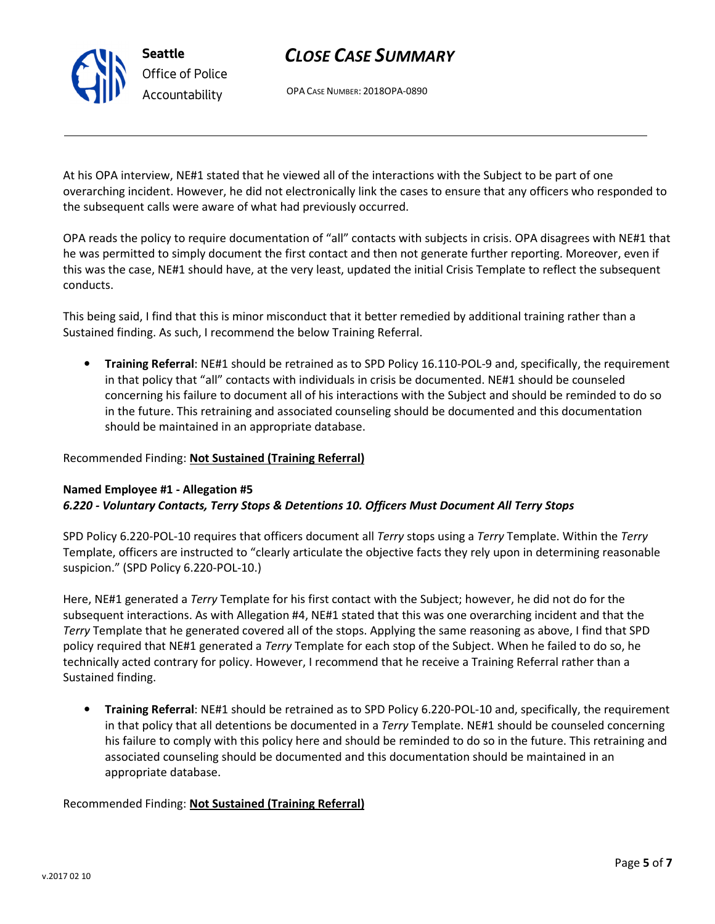# CLOSE CASE SUMMARY

OPA CASE NUMBER: 2018OPA-0890

At his OPA interview, NE#1 stated that he viewed all of the interactions with the Subject to be part of one overarching incident. However, he did not electronically link the cases to ensure that any officers who responded to the subsequent calls were aware of what had previously occurred.

OPA reads the policy to require documentation of "all" contacts with subjects in crisis. OPA disagrees with NE#1 that he was permitted to simply document the first contact and then not generate further reporting. Moreover, even if this was the case, NE#1 should have, at the very least, updated the initial Crisis Template to reflect the subsequent conducts.

This being said, I find that this is minor misconduct that it better remedied by additional training rather than a Sustained finding. As such, I recommend the below Training Referral.

• Training Referral: NE#1 should be retrained as to SPD Policy 16.110-POL-9 and, specifically, the requirement in that policy that "all" contacts with individuals in crisis be documented. NE#1 should be counseled concerning his failure to document all of his interactions with the Subject and should be reminded to do so in the future. This retraining and associated counseling should be documented and this documentation should be maintained in an appropriate database.

### Recommended Finding: Not Sustained (Training Referral)

#### Named Employee #1 - Allegation #5 6.220 - Voluntary Contacts, Terry Stops & Detentions 10. Officers Must Document All Terry Stops

SPD Policy 6.220-POL-10 requires that officers document all Terry stops using a Terry Template. Within the Terry Template, officers are instructed to "clearly articulate the objective facts they rely upon in determining reasonable suspicion." (SPD Policy 6.220-POL-10.)

Here, NE#1 generated a *Terry* Template for his first contact with the Subject; however, he did not do for the subsequent interactions. As with Allegation #4, NE#1 stated that this was one overarching incident and that the Terry Template that he generated covered all of the stops. Applying the same reasoning as above, I find that SPD policy required that NE#1 generated a Terry Template for each stop of the Subject. When he failed to do so, he technically acted contrary for policy. However, I recommend that he receive a Training Referral rather than a Sustained finding.

• Training Referral: NE#1 should be retrained as to SPD Policy 6.220-POL-10 and, specifically, the requirement in that policy that all detentions be documented in a Terry Template. NE#1 should be counseled concerning his failure to comply with this policy here and should be reminded to do so in the future. This retraining and associated counseling should be documented and this documentation should be maintained in an appropriate database.

Recommended Finding: Not Sustained (Training Referral)



Seattle Office of Police Accountability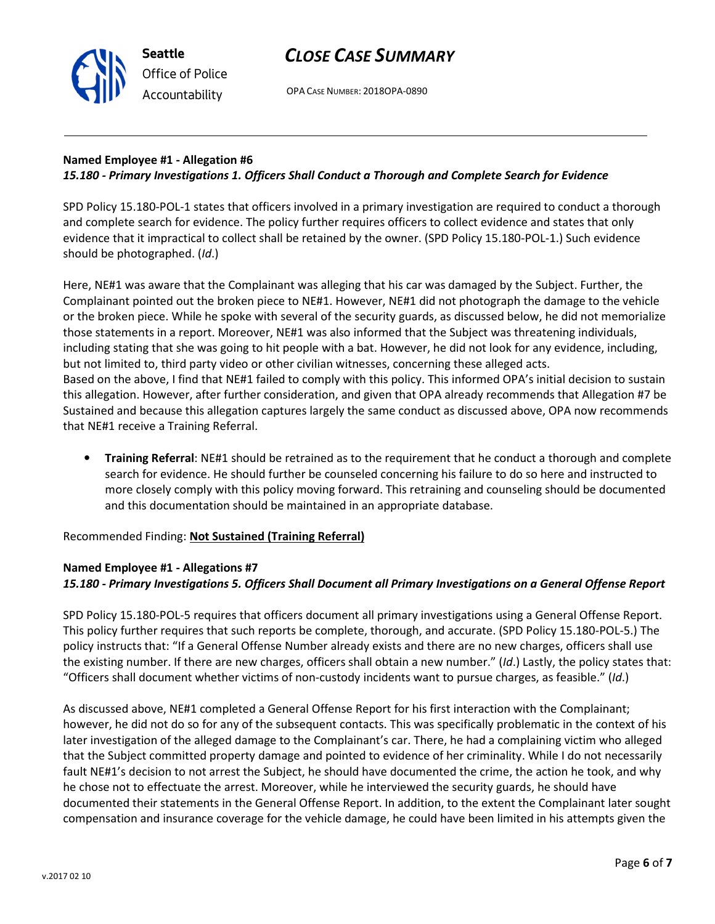# CLOSE CASE SUMMARY

OPA CASE NUMBER: 2018OPA-0890

### Named Employee #1 - Allegation #6 15.180 - Primary Investigations 1. Officers Shall Conduct a Thorough and Complete Search for Evidence

SPD Policy 15.180-POL-1 states that officers involved in a primary investigation are required to conduct a thorough and complete search for evidence. The policy further requires officers to collect evidence and states that only evidence that it impractical to collect shall be retained by the owner. (SPD Policy 15.180-POL-1.) Such evidence should be photographed. (Id.)

Here, NE#1 was aware that the Complainant was alleging that his car was damaged by the Subject. Further, the Complainant pointed out the broken piece to NE#1. However, NE#1 did not photograph the damage to the vehicle or the broken piece. While he spoke with several of the security guards, as discussed below, he did not memorialize those statements in a report. Moreover, NE#1 was also informed that the Subject was threatening individuals, including stating that she was going to hit people with a bat. However, he did not look for any evidence, including, but not limited to, third party video or other civilian witnesses, concerning these alleged acts. Based on the above, I find that NE#1 failed to comply with this policy. This informed OPA's initial decision to sustain this allegation. However, after further consideration, and given that OPA already recommends that Allegation #7 be Sustained and because this allegation captures largely the same conduct as discussed above, OPA now recommends that NE#1 receive a Training Referral.

• Training Referral: NE#1 should be retrained as to the requirement that he conduct a thorough and complete search for evidence. He should further be counseled concerning his failure to do so here and instructed to more closely comply with this policy moving forward. This retraining and counseling should be documented and this documentation should be maintained in an appropriate database.

Recommended Finding: Not Sustained (Training Referral)

## Named Employee #1 - Allegations #7 15.180 - Primary Investigations 5. Officers Shall Document all Primary Investigations on a General Offense Report

SPD Policy 15.180-POL-5 requires that officers document all primary investigations using a General Offense Report. This policy further requires that such reports be complete, thorough, and accurate. (SPD Policy 15.180-POL-5.) The policy instructs that: "If a General Offense Number already exists and there are no new charges, officers shall use the existing number. If there are new charges, officers shall obtain a new number." (Id.) Lastly, the policy states that: "Officers shall document whether victims of non-custody incidents want to pursue charges, as feasible." (Id.)

As discussed above, NE#1 completed a General Offense Report for his first interaction with the Complainant; however, he did not do so for any of the subsequent contacts. This was specifically problematic in the context of his later investigation of the alleged damage to the Complainant's car. There, he had a complaining victim who alleged that the Subject committed property damage and pointed to evidence of her criminality. While I do not necessarily fault NE#1's decision to not arrest the Subject, he should have documented the crime, the action he took, and why he chose not to effectuate the arrest. Moreover, while he interviewed the security guards, he should have documented their statements in the General Offense Report. In addition, to the extent the Complainant later sought compensation and insurance coverage for the vehicle damage, he could have been limited in his attempts given the



Seattle Office of Police Accountability